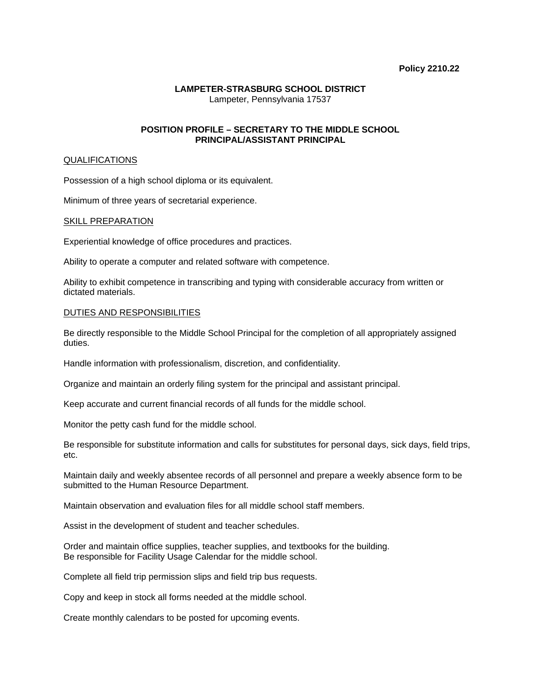### **Policy 2210.22**

# **LAMPETER-STRASBURG SCHOOL DISTRICT**  Lampeter, Pennsylvania 17537

# **POSITION PROFILE – SECRETARY TO THE MIDDLE SCHOOL PRINCIPAL/ASSISTANT PRINCIPAL**

### **QUALIFICATIONS**

Possession of a high school diploma or its equivalent.

Minimum of three years of secretarial experience.

### SKILL PREPARATION

Experiential knowledge of office procedures and practices.

Ability to operate a computer and related software with competence.

Ability to exhibit competence in transcribing and typing with considerable accuracy from written or dictated materials.

## DUTIES AND RESPONSIBILITIES

Be directly responsible to the Middle School Principal for the completion of all appropriately assigned duties.

Handle information with professionalism, discretion, and confidentiality.

Organize and maintain an orderly filing system for the principal and assistant principal.

Keep accurate and current financial records of all funds for the middle school.

Monitor the petty cash fund for the middle school.

Be responsible for substitute information and calls for substitutes for personal days, sick days, field trips, etc.

Maintain daily and weekly absentee records of all personnel and prepare a weekly absence form to be submitted to the Human Resource Department.

Maintain observation and evaluation files for all middle school staff members.

Assist in the development of student and teacher schedules.

Order and maintain office supplies, teacher supplies, and textbooks for the building. Be responsible for Facility Usage Calendar for the middle school.

Complete all field trip permission slips and field trip bus requests.

Copy and keep in stock all forms needed at the middle school.

Create monthly calendars to be posted for upcoming events.